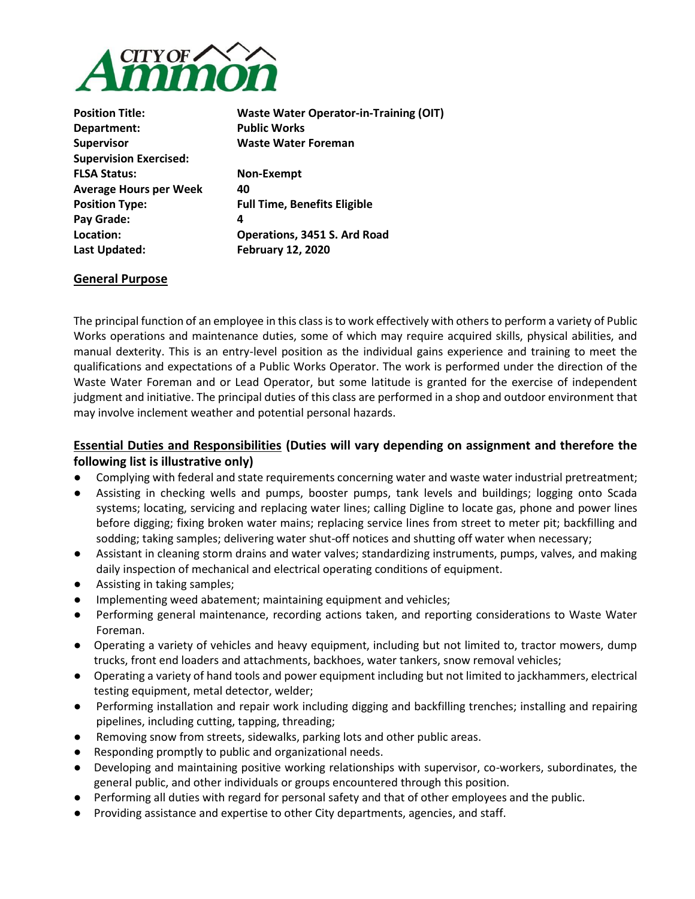

| <b>Position Title:</b>        | <b>Waste Water Operator-in-Training (OIT)</b> |
|-------------------------------|-----------------------------------------------|
| Department:                   | <b>Public Works</b>                           |
| <b>Supervisor</b>             | <b>Waste Water Foreman</b>                    |
| <b>Supervision Exercised:</b> |                                               |
| <b>FLSA Status:</b>           | Non-Exempt                                    |
| <b>Average Hours per Week</b> | 40                                            |
| <b>Position Type:</b>         | <b>Full Time, Benefits Eligible</b>           |
| Pay Grade:                    | 4                                             |
| Location:                     | Operations, 3451 S. Ard Road                  |
| Last Updated:                 | <b>February 12, 2020</b>                      |
|                               |                                               |

### **General Purpose**

The principal function of an employee in this class is to work effectively with others to perform a variety of Public Works operations and maintenance duties, some of which may require acquired skills, physical abilities, and manual dexterity. This is an entry-level position as the individual gains experience and training to meet the qualifications and expectations of a Public Works Operator. The work is performed under the direction of the Waste Water Foreman and or Lead Operator, but some latitude is granted for the exercise of independent judgment and initiative. The principal duties of this class are performed in a shop and outdoor environment that may involve inclement weather and potential personal hazards.

## **Essential Duties and Responsibilities (Duties will vary depending on assignment and therefore the following list is illustrative only)**

- Complying with federal and state requirements concerning water and waste water industrial pretreatment;
- Assisting in checking wells and pumps, booster pumps, tank levels and buildings; logging onto Scada systems; locating, servicing and replacing water lines; calling Digline to locate gas, phone and power lines before digging; fixing broken water mains; replacing service lines from street to meter pit; backfilling and sodding; taking samples; delivering water shut-off notices and shutting off water when necessary;
- Assistant in cleaning storm drains and water valves; standardizing instruments, pumps, valves, and making daily inspection of mechanical and electrical operating conditions of equipment.
- Assisting in taking samples;
- Implementing weed abatement; maintaining equipment and vehicles;
- Performing general maintenance, recording actions taken, and reporting considerations to Waste Water Foreman.
- Operating a variety of vehicles and heavy equipment, including but not limited to, tractor mowers, dump trucks, front end loaders and attachments, backhoes, water tankers, snow removal vehicles;
- Operating a variety of hand tools and power equipment including but not limited to jackhammers, electrical testing equipment, metal detector, welder;
- Performing installation and repair work including digging and backfilling trenches; installing and repairing pipelines, including cutting, tapping, threading;
- Removing snow from streets, sidewalks, parking lots and other public areas.
- Responding promptly to public and organizational needs.
- Developing and maintaining positive working relationships with supervisor, co-workers, subordinates, the general public, and other individuals or groups encountered through this position.
- Performing all duties with regard for personal safety and that of other employees and the public.
- Providing assistance and expertise to other City departments, agencies, and staff.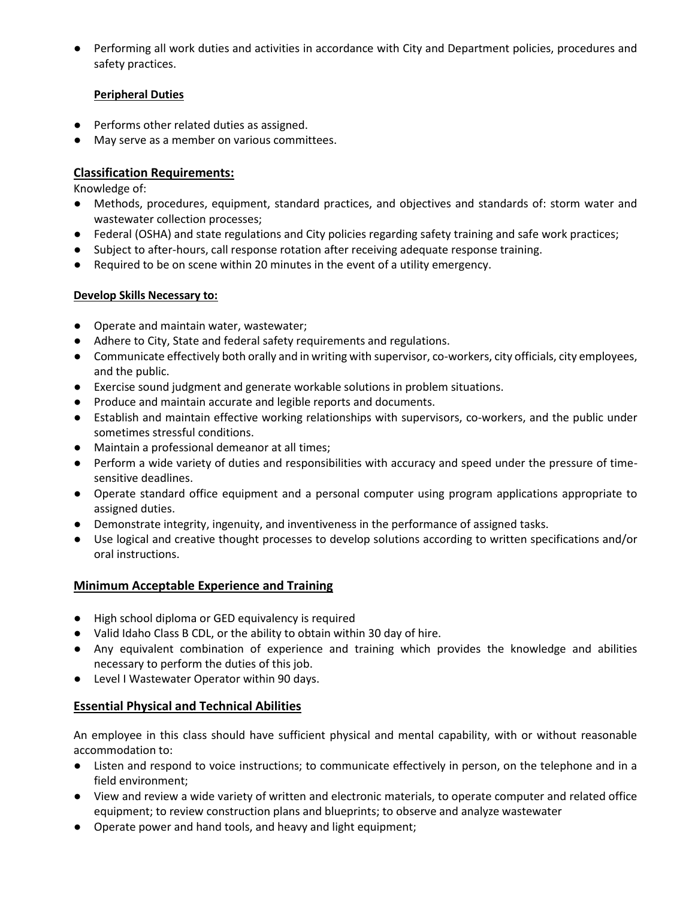● Performing all work duties and activities in accordance with City and Department policies, procedures and safety practices.

### **Peripheral Duties**

- Performs other related duties as assigned.
- May serve as a member on various committees.

# **Classification Requirements:**

Knowledge of:

- Methods, procedures, equipment, standard practices, and objectives and standards of: storm water and wastewater collection processes;
- Federal (OSHA) and state regulations and City policies regarding safety training and safe work practices;
- Subject to after-hours, call response rotation after receiving adequate response training.
- Required to be on scene within 20 minutes in the event of a utility emergency.

## **Develop Skills Necessary to:**

- Operate and maintain water, wastewater;
- Adhere to City, State and federal safety requirements and regulations.
- Communicate effectively both orally and in writing with supervisor, co-workers, city officials, city employees, and the public.
- Exercise sound judgment and generate workable solutions in problem situations.
- Produce and maintain accurate and legible reports and documents.
- Establish and maintain effective working relationships with supervisors, co-workers, and the public under sometimes stressful conditions.
- Maintain a professional demeanor at all times;
- Perform a wide variety of duties and responsibilities with accuracy and speed under the pressure of timesensitive deadlines.
- Operate standard office equipment and a personal computer using program applications appropriate to assigned duties.
- Demonstrate integrity, ingenuity, and inventiveness in the performance of assigned tasks.
- Use logical and creative thought processes to develop solutions according to written specifications and/or oral instructions.

## **Minimum Acceptable Experience and Training**

- High school diploma or GED equivalency is required
- Valid Idaho Class B CDL, or the ability to obtain within 30 day of hire.
- Any equivalent combination of experience and training which provides the knowledge and abilities necessary to perform the duties of this job.
- Level I Wastewater Operator within 90 days.

## **Essential Physical and Technical Abilities**

An employee in this class should have sufficient physical and mental capability, with or without reasonable accommodation to:

- Listen and respond to voice instructions; to communicate effectively in person, on the telephone and in a field environment;
- View and review a wide variety of written and electronic materials, to operate computer and related office equipment; to review construction plans and blueprints; to observe and analyze wastewater
- Operate power and hand tools, and heavy and light equipment;